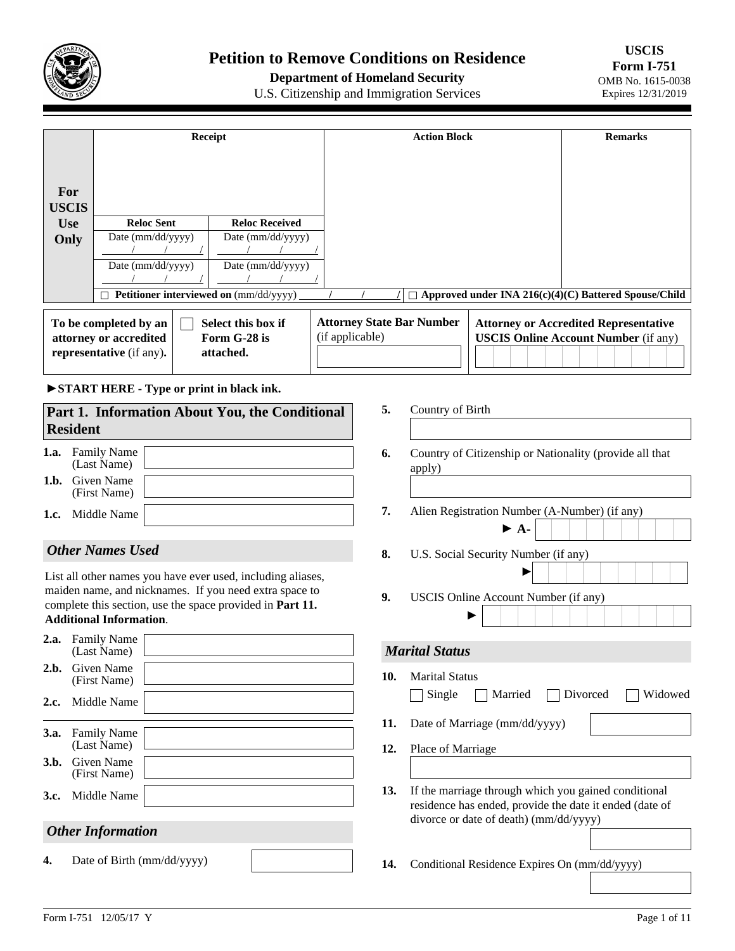

# **Petition to Remove Conditions on Residence**

# **Department of Homeland Security**

U.S. Citizenship and Immigration Services

|                     |                                                                             | <b>Receipt</b>                                  | <b>Action Block</b>                                 | <b>Remarks</b>                                                                              |
|---------------------|-----------------------------------------------------------------------------|-------------------------------------------------|-----------------------------------------------------|---------------------------------------------------------------------------------------------|
| For<br><b>USCIS</b> |                                                                             |                                                 |                                                     |                                                                                             |
| <b>Use</b>          | <b>Reloc Sent</b>                                                           | <b>Reloc Received</b>                           |                                                     |                                                                                             |
| Only                | Date $\text{(mm/dd/yyy)}$                                                   | Date $\text{(mm/dd/yyyy)}$                      |                                                     |                                                                                             |
|                     |                                                                             |                                                 |                                                     |                                                                                             |
|                     | Date $\text{(mm/dd/yyyy)}$                                                  | Date $\text{(mm/dd/yyyy)}$                      |                                                     |                                                                                             |
|                     |                                                                             |                                                 |                                                     |                                                                                             |
|                     | Petitioner interviewed on (mm/dd/yyyy)                                      |                                                 | $\mathcal{L}$                                       | Approved under INA $216(c)(4)(C)$ Battered Spouse/Child                                     |
|                     | To be completed by an<br>attorney or accredited<br>representative (if any). | Select this box if<br>Form G-28 is<br>attached. | <b>Attorney State Bar Number</b><br>(if applicable) | <b>Attorney or Accredited Representative</b><br><b>USCIS Online Account Number (if any)</b> |

#### ►**START HERE - Type or print in black ink.**

| Part 1. Information About You, the Conditional<br><b>Resident</b>                                                                                                                                                    | 5.<br>Country of Birth                                                                                                                                           |
|----------------------------------------------------------------------------------------------------------------------------------------------------------------------------------------------------------------------|------------------------------------------------------------------------------------------------------------------------------------------------------------------|
| Family Name<br>1.a.<br>(Last Name)<br><b>Given Name</b><br>1.h.<br>(First Name)                                                                                                                                      | 6.<br>Country of Citizenship or Nationality (provide all that<br>apply)                                                                                          |
| Middle Name<br>1.c.                                                                                                                                                                                                  | 7.<br>Alien Registration Number (A-Number) (if any)<br>$\blacktriangleright$ A-                                                                                  |
| <b>Other Names Used</b>                                                                                                                                                                                              | 8.<br>U.S. Social Security Number (if any)                                                                                                                       |
| List all other names you have ever used, including aliases,<br>maiden name, and nicknames. If you need extra space to<br>complete this section, use the space provided in Part 11.<br><b>Additional Information.</b> | 9.<br>USCIS Online Account Number (if any)                                                                                                                       |
| <b>Family Name</b><br>2.a.<br>(Last Name)                                                                                                                                                                            | <b>Marital Status</b>                                                                                                                                            |
| <b>Given Name</b><br>2.h.<br>(First Name)                                                                                                                                                                            | <b>Marital Status</b><br>10.                                                                                                                                     |
| Middle Name<br>2.c.                                                                                                                                                                                                  | Single<br>Widowed<br>Married<br>Divorced                                                                                                                         |
| Family Name<br>3.a.<br>(Last Name)                                                                                                                                                                                   | 11.<br>Date of Marriage (mm/dd/yyyy)<br>12.<br>Place of Marriage                                                                                                 |
| <b>Given Name</b><br>3.h.<br>(First Name)                                                                                                                                                                            |                                                                                                                                                                  |
| Middle Name<br>3.c.                                                                                                                                                                                                  | 13.<br>If the marriage through which you gained conditional<br>residence has ended, provide the date it ended (date of<br>divorce or date of death) (mm/dd/yyyy) |
| <b>Other Information</b>                                                                                                                                                                                             |                                                                                                                                                                  |
| Date of Birth (mm/dd/yyyy)<br>4.                                                                                                                                                                                     | 14.<br>Conditional Residence Expires On (mm/dd/yyyy)                                                                                                             |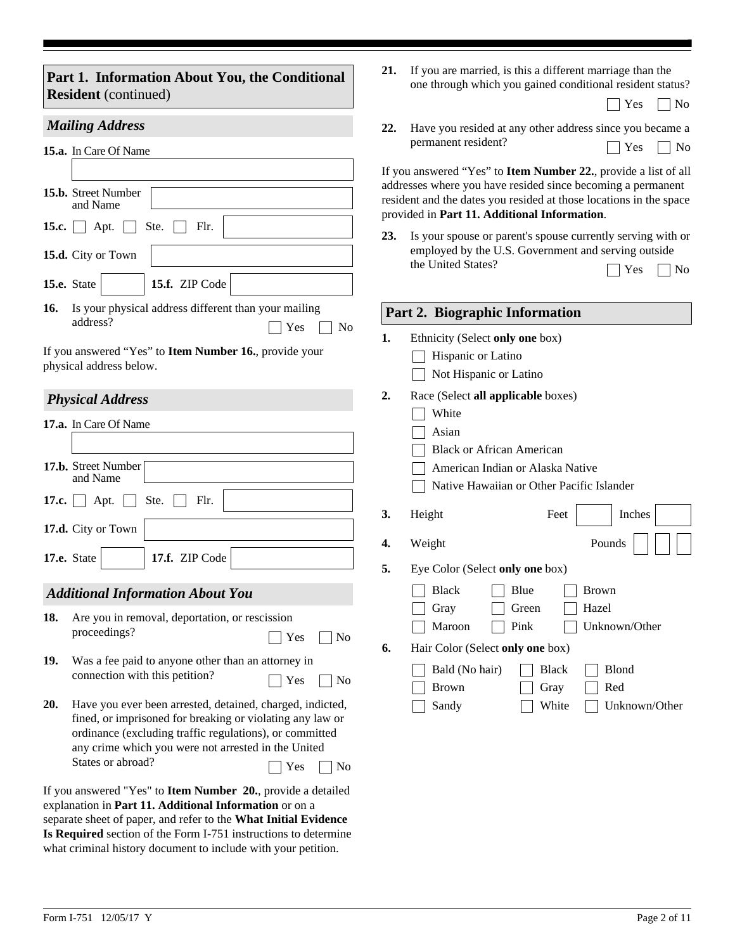| Part 1. Information About You, the Conditional<br><b>Resident</b> (continued)                                                                                                                                                                                                                                                                                                                                                                                                                                                    | If you are married, is this a different marriage than the<br>21.<br>one through which you gained conditional resident status?<br>N <sub>0</sub><br>Yes                                                                                                                                                                                                                                                                                                                                                                                                  |  |  |  |  |
|----------------------------------------------------------------------------------------------------------------------------------------------------------------------------------------------------------------------------------------------------------------------------------------------------------------------------------------------------------------------------------------------------------------------------------------------------------------------------------------------------------------------------------|---------------------------------------------------------------------------------------------------------------------------------------------------------------------------------------------------------------------------------------------------------------------------------------------------------------------------------------------------------------------------------------------------------------------------------------------------------------------------------------------------------------------------------------------------------|--|--|--|--|
| <b>Mailing Address</b><br>15.a. In Care Of Name<br>15.b. Street Number<br>and Name<br>Apt.<br>Ste.<br>Flr.<br>15.c. $\vert$ $\vert$<br>15.d. City or Town<br>15.f. ZIP Code<br>15.e. State<br>$\vert \mathbf{v} \vert$                                                                                                                                                                                                                                                                                                           | Have you resided at any other address since you became a<br>22.<br>permanent resident?<br>Yes<br>No<br>If you answered "Yes" to Item Number 22., provide a list of all<br>addresses where you have resided since becoming a permanent<br>resident and the dates you resided at those locations in the space<br>provided in Part 11. Additional Information.<br>Is your spouse or parent's spouse currently serving with or<br>23.<br>employed by the U.S. Government and serving outside<br>the United States?<br>Yes<br>No                             |  |  |  |  |
| Is your physical address different than your mailing<br>16.<br>address?<br>Yes<br>N <sub>0</sub><br>If you answered "Yes" to Item Number 16., provide your<br>physical address below.                                                                                                                                                                                                                                                                                                                                            | Part 2. Biographic Information<br>Ethnicity (Select only one box)<br>1.<br>Hispanic or Latino<br>Not Hispanic or Latino                                                                                                                                                                                                                                                                                                                                                                                                                                 |  |  |  |  |
| <b>Physical Address</b><br>17.a. In Care Of Name<br>17.b. Street Number<br>and Name<br>Apt.<br>Ste.<br>Flr.<br>17.c. $\vert$<br>17.d. City or Town<br>17.f. ZIP Code<br>17.e. State<br>$\vert \mathbf{v} \vert$<br><b>Additional Information About You</b><br>18.<br>Are you in removal, deportation, or rescission<br>proceedings?<br>Yes<br>No<br>19.<br>Was a fee paid to anyone other than an attorney in<br>connection with this petition?<br>Yes<br>No<br>20.<br>Have you ever been arrested, detained, charged, indicted, | 2.<br>Race (Select all applicable boxes)<br>White<br>Asian<br><b>Black or African American</b><br>American Indian or Alaska Native<br>Native Hawaiian or Other Pacific Islander<br>3.<br>Height<br>Feet<br>Inches<br>Pounds<br>4.<br>Weight<br>5.<br>Eye Color (Select only one box)<br><b>Black</b><br>Blue<br><b>Brown</b><br>Gray<br>Green<br>Hazel<br>Maroon<br>Pink<br>Unknown/Other<br>Hair Color (Select only one box)<br>6.<br><b>Black</b><br><b>Blond</b><br>Bald (No hair)<br><b>Brown</b><br>Red<br>Gray<br>White<br>Sandy<br>Unknown/Other |  |  |  |  |
| fined, or imprisoned for breaking or violating any law or<br>ordinance (excluding traffic regulations), or committed<br>any crime which you were not arrested in the United<br>States or abroad?<br>Yes<br>No<br>If you answered "Yes" to Item Number 20., provide a detailed<br>explanation in Part 11. Additional Information or on a<br>separate sheet of paper, and refer to the What Initial Evidence<br>Is Required section of the Form I-751 instructions to determine                                                    |                                                                                                                                                                                                                                                                                                                                                                                                                                                                                                                                                         |  |  |  |  |

what criminal history document to include with your petition.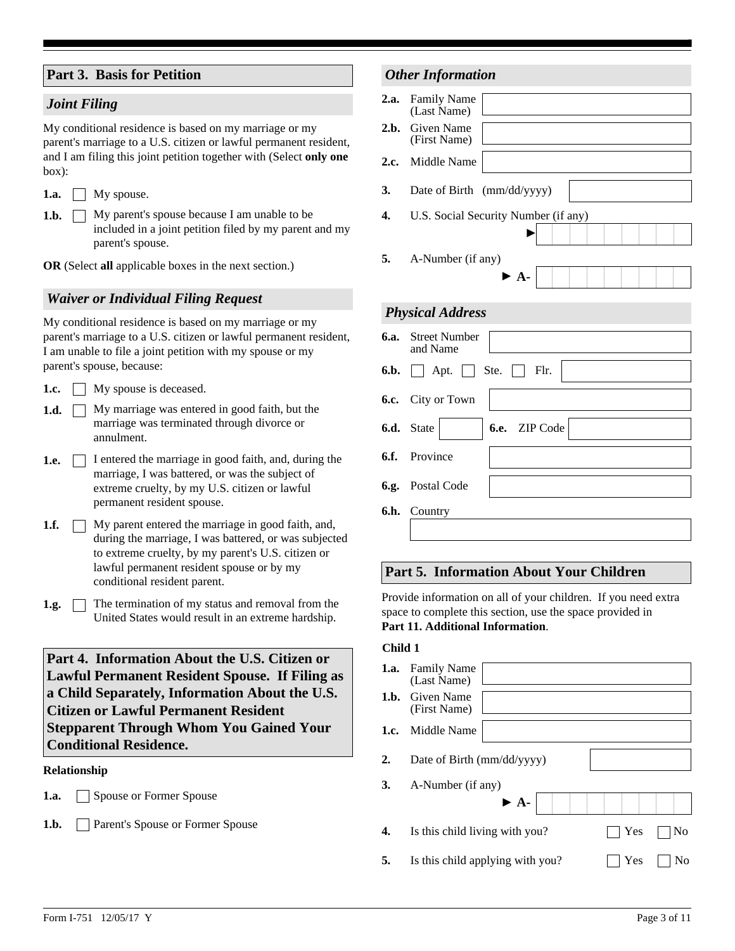# **Part 3.****Basis for Petition**

#### *Joint Filing*

My conditional residence is based on my marriage or my parent's marriage to a U.S. citizen or lawful permanent resident, and I am filing this joint petition together with (Select **only one**  box):

**1.a.** My spouse.

1.b.  $\Box$  My parent's spouse because I am unable to be included in a joint petition filed by my parent and my parent's spouse.

**OR** (Select **all** applicable boxes in the next section.)

#### *Waiver or Individual Filing Request*

My conditional residence is based on my marriage or my parent's marriage to a U.S. citizen or lawful permanent resident, I am unable to file a joint petition with my spouse or my parent's spouse, because:

- **1.c.** My spouse is deceased.
- **1.d.** My marriage was entered in good faith, but the marriage was terminated through divorce or annulment.
- **1.e.**  $\Box$  I entered the marriage in good faith, and, during the marriage, I was battered, or was the subject of extreme cruelty, by my U.S. citizen or lawful permanent resident spouse.
- **1.f.** My parent entered the marriage in good faith, and, during the marriage, I was battered, or was subjected to extreme cruelty, by my parent's U.S. citizen or lawful permanent resident spouse or by my conditional resident parent.
- **1.g.** The termination of my status and removal from the United States would result in an extreme hardship.

**Part 4. Information About the U.S. Citizen or Lawful Permanent Resident Spouse. If Filing as a Child Separately, Information About the U.S. Citizen or Lawful Permanent Resident Stepparent Through Whom You Gained Your Conditional Residence.**

#### **Relationship**

**1.a.** □ Spouse or Former Spouse

**1.b.** Parent's Spouse or Former Spouse

## *Other Information*

| 2.a.<br><b>Family Name</b><br>(Last Name)<br><b>Given Name</b><br>2.h.<br>(First Name)<br>Middle Name<br>2.c.<br>3.<br>Date of Birth (mm/dd/yyyy)<br>4.<br>U.S. Social Security Number (if any)<br>A-Number (if any)<br>5.<br>$\blacktriangleright$ A-<br><b>Physical Address</b><br><b>Street Number</b><br>6.а.<br>and Name<br>6.b.<br>Ste.<br>Flr.<br>Apt.<br><b>6.c.</b> City or Town<br>6.e. ZIP Code<br>State<br>6.d.<br>6.f.<br>Province<br>6.g.<br>Postal Code<br>6.h.<br>Country |  |
|-------------------------------------------------------------------------------------------------------------------------------------------------------------------------------------------------------------------------------------------------------------------------------------------------------------------------------------------------------------------------------------------------------------------------------------------------------------------------------------------|--|
|                                                                                                                                                                                                                                                                                                                                                                                                                                                                                           |  |
|                                                                                                                                                                                                                                                                                                                                                                                                                                                                                           |  |
|                                                                                                                                                                                                                                                                                                                                                                                                                                                                                           |  |
|                                                                                                                                                                                                                                                                                                                                                                                                                                                                                           |  |
|                                                                                                                                                                                                                                                                                                                                                                                                                                                                                           |  |
|                                                                                                                                                                                                                                                                                                                                                                                                                                                                                           |  |
|                                                                                                                                                                                                                                                                                                                                                                                                                                                                                           |  |
|                                                                                                                                                                                                                                                                                                                                                                                                                                                                                           |  |
|                                                                                                                                                                                                                                                                                                                                                                                                                                                                                           |  |
|                                                                                                                                                                                                                                                                                                                                                                                                                                                                                           |  |
|                                                                                                                                                                                                                                                                                                                                                                                                                                                                                           |  |
|                                                                                                                                                                                                                                                                                                                                                                                                                                                                                           |  |
|                                                                                                                                                                                                                                                                                                                                                                                                                                                                                           |  |
|                                                                                                                                                                                                                                                                                                                                                                                                                                                                                           |  |

#### **Part 5. Information About Your Children**

Provide information on all of your children. If you need extra space to complete this section, use the space provided in **Part 11. Additional Information**.

#### **Child 1**

|    | <b>1.a.</b> Family Name<br>(Last Name)                       |                                  |     |    |
|----|--------------------------------------------------------------|----------------------------------|-----|----|
|    | <b>1.b.</b> Given Name<br>(First Name)                       |                                  |     |    |
|    | 1.c. Middle Name                                             |                                  |     |    |
| 2. | Date of Birth $\text{mm}/\text{dd}/\text{y}\text{y}\text{y}$ |                                  |     |    |
| 3. | A-Number (if any)                                            |                                  |     |    |
|    |                                                              | $\blacktriangleright$ A-         |     |    |
| 4. | Is this child living with you?                               |                                  | Yes | No |
| 5. |                                                              | Is this child applying with you? | Yes | No |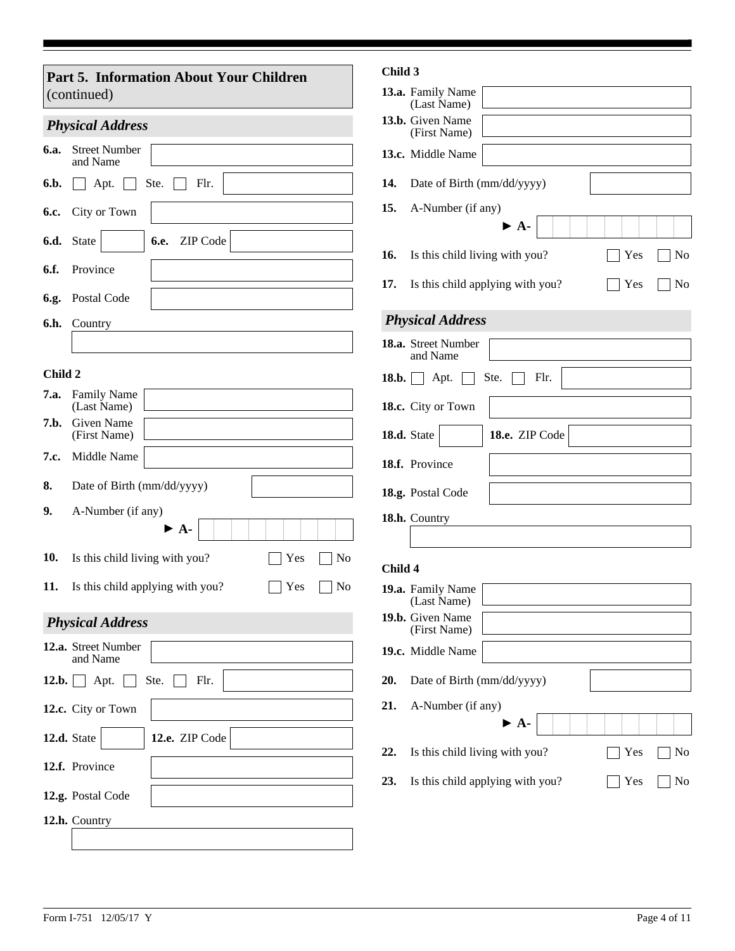| Part 5. Information About Your Children                | Child 3                                               |
|--------------------------------------------------------|-------------------------------------------------------|
| (continued)                                            | 13.a. Family Name<br>(Last Name)                      |
| <b>Physical Address</b>                                | 13.b. Given Name<br>(First Name)                      |
| <b>Street Number</b><br>6.a.<br>and Name               | 13.c. Middle Name                                     |
| Ste.<br>Flr.<br>6.b.<br>Apt.                           | Date of Birth (mm/dd/yyyy)<br>14.                     |
| City or Town<br>6.c.                                   | 15.<br>A-Number (if any)                              |
| ZIP Code<br>6.d. State<br>6.e.<br>$\blacktriangledown$ | $\blacktriangleright$ A-                              |
| Province<br>6.f.                                       | Is this child living with you?<br>16.<br>No<br>Yes    |
|                                                        | Is this child applying with you?<br>17.<br>No<br>Yes  |
| 6.g. Postal Code                                       | <b>Physical Address</b>                               |
| 6.h. Country                                           | 18.a. Street Number<br>and Name                       |
| Child 2                                                | Flr.<br>Apt.<br>Ste.<br>18.b.                         |
| 7.a. Family Name<br>(Last Name)                        | 18.c. City or Town                                    |
| 7.b. Given Name<br>(First Name)                        | 18.d. State<br>18.e. ZIP Code<br>$\blacktriangledown$ |
| Middle Name<br>7.c.                                    | 18.f. Province                                        |
| Date of Birth (mm/dd/yyyy)<br>8.                       | 18.g. Postal Code                                     |
| 9.<br>A-Number (if any)                                | 18.h. Country                                         |
| $\blacktriangleright$ A-                               |                                                       |
| 10.<br>Is this child living with you?<br>No<br>Yes     | Child 4                                               |
| Is this child applying with you?<br>Yes<br>No<br>11.   | 19.a. Family Name<br>(Last Name)                      |
| <b>Physical Address</b>                                | 19.b. Given Name<br>(First Name)                      |
| 12.a. Street Number<br>and Name                        | 19.c. Middle Name                                     |
| Ste.<br>Flr.<br>Apt.<br>12.b.                          | 20.<br>Date of Birth (mm/dd/yyyy)                     |
| 12.c. City or Town                                     | 21.<br>A-Number (if any)                              |
| 12.e. ZIP Code<br>12.d. State<br>$\blacktriangledown$  | $\blacktriangleright$ A-                              |
| 12.f. Province                                         | Is this child living with you?<br>22.<br>No<br>Yes    |
|                                                        | 23.<br>Is this child applying with you?<br>Yes<br>No  |
| 12.g. Postal Code                                      |                                                       |
| 12.h. Country                                          |                                                       |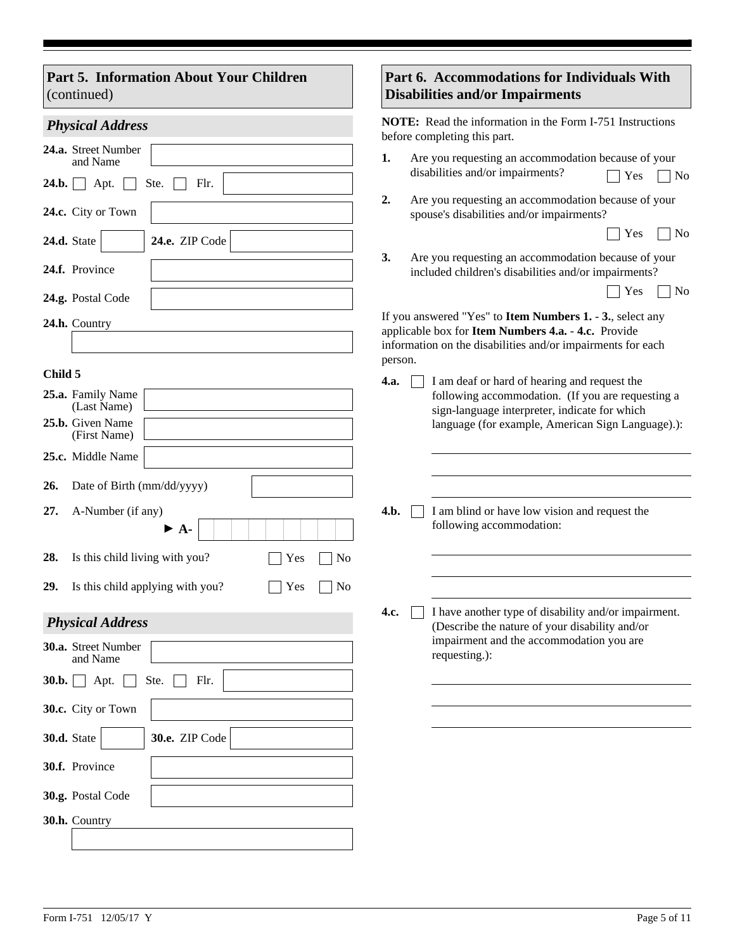| Part 5. Information About Your Children<br>(continued)           | Part 6. Accommodations for Individuals With<br><b>Disabilities and/or Impairments</b>                                                                                                      |  |  |  |  |
|------------------------------------------------------------------|--------------------------------------------------------------------------------------------------------------------------------------------------------------------------------------------|--|--|--|--|
| <b>Physical Address</b>                                          | NOTE: Read the information in the Form I-751 Instructions<br>before completing this part.                                                                                                  |  |  |  |  |
| 24.a. Street Number<br>and Name<br>Apt.<br>Ste.<br>Flr.<br>24.b. | 1.<br>Are you requesting an accommodation because of your<br>disabilities and/or impairments?<br>Yes<br>No                                                                                 |  |  |  |  |
| 24.c. City or Town                                               | 2.<br>Are you requesting an accommodation because of your<br>spouse's disabilities and/or impairments?                                                                                     |  |  |  |  |
| 24.e. ZIP Code<br>24.d. State                                    | Yes<br>N <sub>o</sub>                                                                                                                                                                      |  |  |  |  |
| 24.f. Province                                                   | 3.<br>Are you requesting an accommodation because of your<br>included children's disabilities and/or impairments?                                                                          |  |  |  |  |
| 24.g. Postal Code                                                | N <sub>o</sub><br>Yes                                                                                                                                                                      |  |  |  |  |
| 24.h. Country                                                    | If you answered "Yes" to Item Numbers 1. - 3., select any<br>applicable box for Item Numbers 4.a. - 4.c. Provide<br>information on the disabilities and/or impairments for each<br>person. |  |  |  |  |
| Child 5                                                          | 4.a.<br>I am deaf or hard of hearing and request the                                                                                                                                       |  |  |  |  |
| 25.a. Family Name<br>(Last Name)                                 | following accommodation. (If you are requesting a<br>sign-language interpreter, indicate for which                                                                                         |  |  |  |  |
| 25.b. Given Name<br>(First Name)                                 | language (for example, American Sign Language).):                                                                                                                                          |  |  |  |  |
| 25.c. Middle Name                                                |                                                                                                                                                                                            |  |  |  |  |
| Date of Birth (mm/dd/yyyy)<br>26.                                |                                                                                                                                                                                            |  |  |  |  |
| A-Number (if any)<br>27.<br>$\blacktriangleright$ A-             | 4.b.<br>I am blind or have low vision and request the<br>following accommodation:                                                                                                          |  |  |  |  |
| 28.<br>Is this child living with you?<br>N <sub>o</sub><br>Yes   |                                                                                                                                                                                            |  |  |  |  |
| Is this child applying with you?<br>29.<br>Yes<br>No             |                                                                                                                                                                                            |  |  |  |  |
| <b>Physical Address</b>                                          | I have another type of disability and/or impairment.<br>4.c.<br>(Describe the nature of your disability and/or                                                                             |  |  |  |  |
| 30.a. Street Number<br>and Name                                  | impairment and the accommodation you are<br>requesting.):                                                                                                                                  |  |  |  |  |
| Ste.<br>Flr.<br>30.b.<br>Apt.                                    |                                                                                                                                                                                            |  |  |  |  |
| 30.c. City or Town                                               |                                                                                                                                                                                            |  |  |  |  |
| 30.e. ZIP Code<br>30.d. State                                    |                                                                                                                                                                                            |  |  |  |  |
| 30.f. Province                                                   |                                                                                                                                                                                            |  |  |  |  |
| 30.g. Postal Code                                                |                                                                                                                                                                                            |  |  |  |  |
| 30.h. Country                                                    |                                                                                                                                                                                            |  |  |  |  |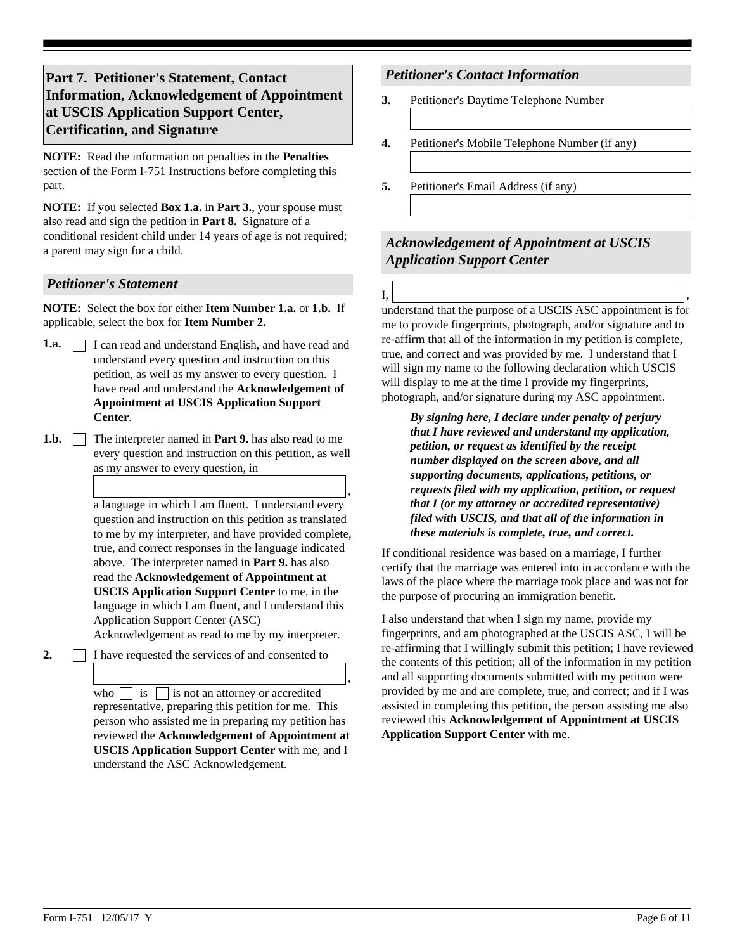# **Part 7. Petitioner's Statement, Contact Information, Acknowledgement of Appointment at USCIS Application Support Center, Certification, and Signature**

**NOTE:** Read the information on penalties in the **Penalties** section of the Form I-751 Instructions before completing this part.

**NOTE:** If you selected **Box 1.a.** in **Part 3.**, your spouse must also read and sign the petition in **Part 8.** Signature of a conditional resident child under 14 years of age is not required; a parent may sign for a child.

## *Petitioner's Statement*

**NOTE:** Select the box for either **Item Number 1.a.** or **1.b.** If applicable, select the box for **Item Number 2.**

- **1.a. I** can read and understand English, and have read and understand every question and instruction on this petition, as well as my answer to every question. I have read and understand the **Acknowledgement of Appointment at USCIS Application Support Center**.
- **1.b.** The interpreter named in **Part 9.** has also read to me every question and instruction on this petition, as well as my answer to every question, in

a language in which I am fluent. I understand every question and instruction on this petition as translated to me by my interpreter, and have provided complete, true, and correct responses in the language indicated above. The interpreter named in **Part 9.** has also read the **Acknowledgement of Appointment at USCIS Application Support Center** to me, in the language in which I am fluent, and I understand this Application Support Center (ASC) ,

Acknowledgement as read to me by my interpreter.

**2.**  $\Box$  I have requested the services of and consented to

who is is not an attorney or accredited representative, preparing this petition for me. This person who assisted me in preparing my petition has reviewed the **Acknowledgement of Appointment at USCIS Application Support Center** with me, and I understand the ASC Acknowledgement.

# *Petitioner's Contact Information*

- **3.** Petitioner's Daytime Telephone Number
- **4.** Petitioner's Mobile Telephone Number (if any)
- **5.** Petitioner's Email Address (if any)

# *Acknowledgement of Appointment at USCIS Application Support Center*

#### I, ,

,

understand that the purpose of a USCIS ASC appointment is for me to provide fingerprints, photograph, and/or signature and to re-affirm that all of the information in my petition is complete, true, and correct and was provided by me. I understand that I will sign my name to the following declaration which USCIS will display to me at the time I provide my fingerprints, photograph, and/or signature during my ASC appointment.

*By signing here, I declare under penalty of perjury that I have reviewed and understand my application, petition, or request as identified by the receipt number displayed on the screen above, and all supporting documents, applications, petitions, or requests filed with my application, petition, or request that I (or my attorney or accredited representative) filed with USCIS, and that all of the information in these materials is complete, true, and correct.*

If conditional residence was based on a marriage, I further certify that the marriage was entered into in accordance with the laws of the place where the marriage took place and was not for the purpose of procuring an immigration benefit.

I also understand that when I sign my name, provide my fingerprints, and am photographed at the USCIS ASC, I will be re-affirming that I willingly submit this petition; I have reviewed the contents of this petition; all of the information in my petition and all supporting documents submitted with my petition were provided by me and are complete, true, and correct; and if I was assisted in completing this petition, the person assisting me also reviewed this **Acknowledgement of Appointment at USCIS Application Support Center** with me.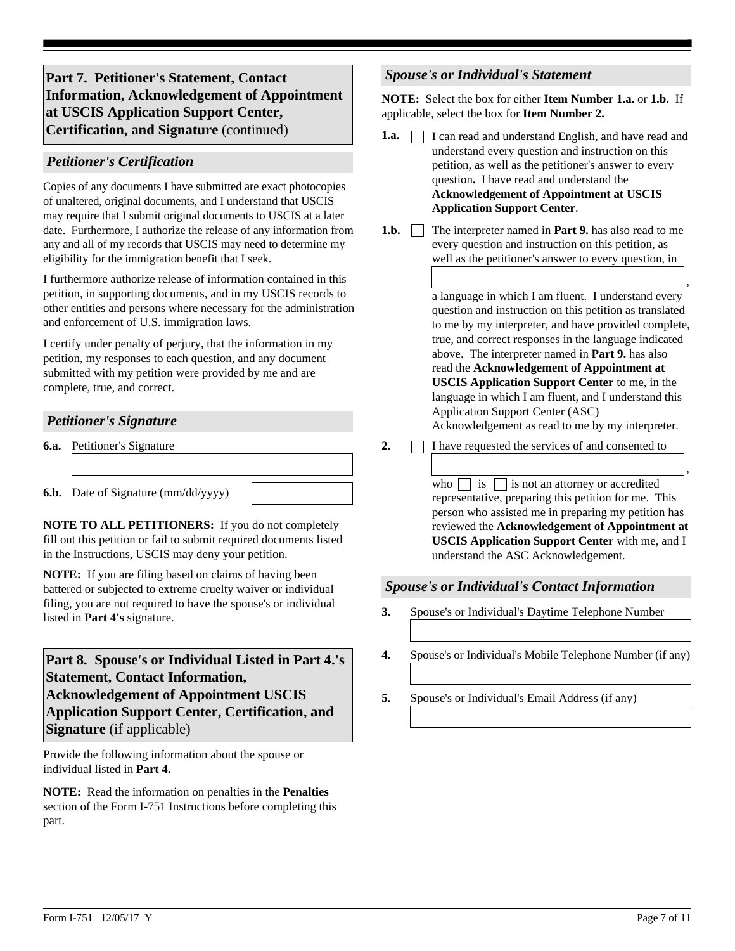**Part 7. Petitioner's Statement, Contact Information, Acknowledgement of Appointment at USCIS Application Support Center, Certification, and Signature** (continued)

# *Petitioner's Certification*

Copies of any documents I have submitted are exact photocopies of unaltered, original documents, and I understand that USCIS may require that I submit original documents to USCIS at a later date. Furthermore, I authorize the release of any information from any and all of my records that USCIS may need to determine my eligibility for the immigration benefit that I seek.

I furthermore authorize release of information contained in this petition, in supporting documents, and in my USCIS records to other entities and persons where necessary for the administration and enforcement of U.S. immigration laws.

I certify under penalty of perjury, that the information in my petition, my responses to each question, and any document submitted with my petition were provided by me and are complete, true, and correct.

## *Petitioner's Signature*

Petitioner's Signature **6.a.**

**6.b.** Date of Signature (mm/dd/yyyy)

**NOTE TO ALL PETITIONERS:** If you do not completely fill out this petition or fail to submit required documents listed in the Instructions, USCIS may deny your petition.

**NOTE:** If you are filing based on claims of having been battered or subjected to extreme cruelty waiver or individual filing, you are not required to have the spouse's or individual listed in **Part 4's** signature.

**Part 8. Spouse's or Individual Listed in Part 4.'s Statement, Contact Information, Acknowledgement of Appointment USCIS Application Support Center, Certification, and Signature** (if applicable)

Provide the following information about the spouse or individual listed in **Part 4.**

**NOTE:** Read the information on penalties in the **Penalties** section of the Form I-751 Instructions before completing this part.

# *Spouse's or Individual's Statement*

**NOTE:** Select the box for either **Item Number 1.a.** or **1.b.** If applicable, select the box for **Item Number 2.**

- **1.a.**  $\Box$  I can read and understand English, and have read and understand every question and instruction on this petition, as well as the petitioner's answer to every question**.** I have read and understand the **Acknowledgement of Appointment at USCIS Application Support Center**.
- 1.b. **The interpreter named in Part 9.** has also read to me every question and instruction on this petition, as well as the petitioner's answer to every question, in

a language in which I am fluent. I understand every question and instruction on this petition as translated to me by my interpreter, and have provided complete, true, and correct responses in the language indicated above. The interpreter named in **Part 9.** has also read the **Acknowledgement of Appointment at USCIS Application Support Center** to me, in the language in which I am fluent, and I understand this Application Support Center (ASC) Acknowledgement as read to me by my interpreter. ,

2.  $\Box$  I have requested the services of and consented to

who is  $\Box$  is not an attorney or accredited representative, preparing this petition for me. This person who assisted me in preparing my petition has reviewed the **Acknowledgement of Appointment at USCIS Application Support Center** with me, and I understand the ASC Acknowledgement. ,

## *Spouse's or Individual's Contact Information*

- **3.** Spouse's or Individual's Daytime Telephone Number
- **4.** Spouse's or Individual's Mobile Telephone Number (if any)
- **5.** Spouse's or Individual's Email Address (if any)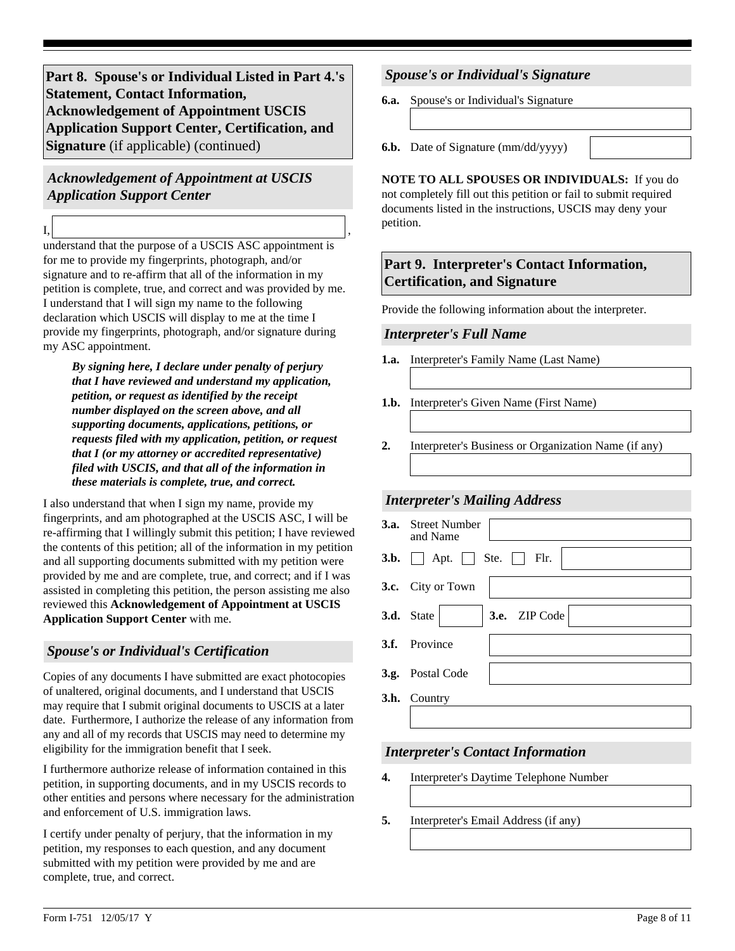**Part 8. Spouse's or Individual Listed in Part 4.'s Statement, Contact Information, Acknowledgement of Appointment USCIS Application Support Center, Certification, and Signature** (if applicable) (continued)

*Acknowledgement of Appointment at USCIS Application Support Center*

I, ,

understand that the purpose of a USCIS ASC appointment is for me to provide my fingerprints, photograph, and/or signature and to re-affirm that all of the information in my petition is complete, true, and correct and was provided by me. I understand that I will sign my name to the following declaration which USCIS will display to me at the time I provide my fingerprints, photograph, and/or signature during my ASC appointment.

*By signing here, I declare under penalty of perjury that I have reviewed and understand my application, petition, or request as identified by the receipt number displayed on the screen above, and all supporting documents, applications, petitions, or requests filed with my application, petition, or request that I (or my attorney or accredited representative) filed with USCIS, and that all of the information in these materials is complete, true, and correct.* 

I also understand that when I sign my name, provide my fingerprints, and am photographed at the USCIS ASC, I will be re-affirming that I willingly submit this petition; I have reviewed the contents of this petition; all of the information in my petition and all supporting documents submitted with my petition were provided by me and are complete, true, and correct; and if I was assisted in completing this petition, the person assisting me also reviewed this **Acknowledgement of Appointment at USCIS Application Support Center** with me.

# *Spouse's or Individual's Certification*

Copies of any documents I have submitted are exact photocopies of unaltered, original documents, and I understand that USCIS may require that I submit original documents to USCIS at a later date. Furthermore, I authorize the release of any information from any and all of my records that USCIS may need to determine my eligibility for the immigration benefit that I seek.

I furthermore authorize release of information contained in this petition, in supporting documents, and in my USCIS records to other entities and persons where necessary for the administration and enforcement of U.S. immigration laws.

I certify under penalty of perjury, that the information in my petition, my responses to each question, and any document submitted with my petition were provided by me and are complete, true, and correct.

# *Spouse's or Individual's Signature*

Spouse's or Individual's Signature **6.a.**

**6.b.** Date of Signature (mm/dd/yyyy)

**NOTE TO ALL SPOUSES OR INDIVIDUALS:** If you do not completely fill out this petition or fail to submit required documents listed in the instructions, USCIS may deny your petition.

# **Part 9. Interpreter's Contact Information, Certification, and Signature**

Provide the following information about the interpreter.

#### *Interpreter's Full Name*

- **1.a.** Interpreter's Family Name (Last Name)
- **1.b.** Interpreter's Given Name (First Name)
- **2.** Interpreter's Business or Organization Name (if any)

## *Interpreter's Mailing Address*

| <b>3.a.</b> Street Number<br>and Name             |
|---------------------------------------------------|
| <b>3.b.</b> $\Box$ Apt. $\Box$ Ste. $\Box$ Flr.   |
| 3.c. City or Town                                 |
| 3.d. State<br>$\blacktriangleright$ 3.e. ZIP Code |
| 3.f. Province                                     |
| 3.g. Postal Code                                  |
| <b>3.h.</b> Country                               |
|                                                   |

## *Interpreter's Contact Information*

- **4.** Interpreter's Daytime Telephone Number
- **5.** Interpreter's Email Address (if any)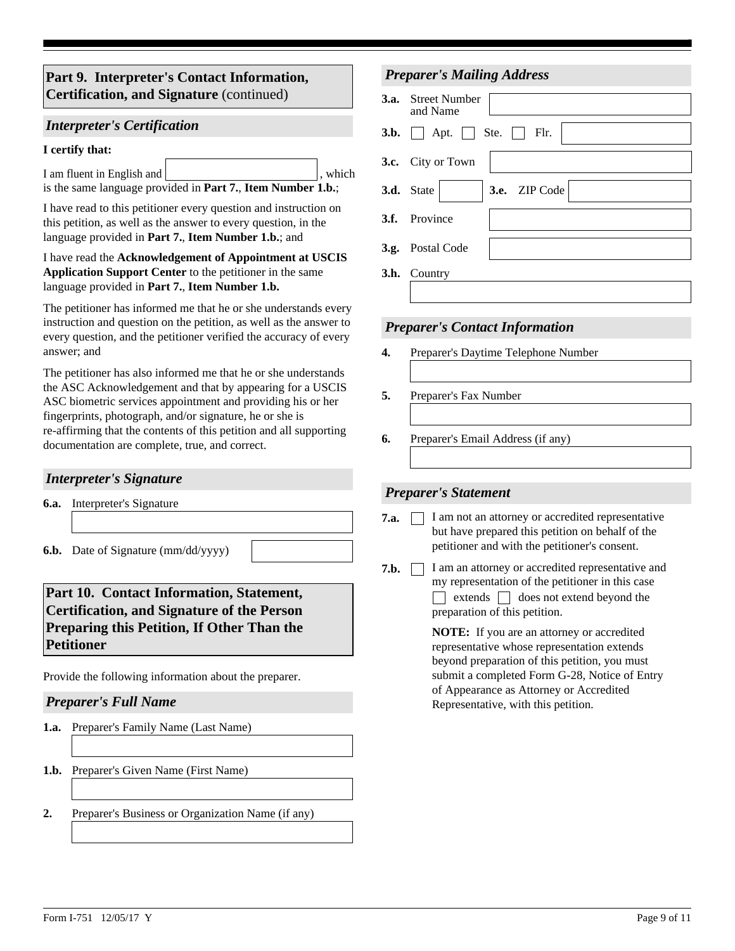**Part 9. Interpreter's Contact Information, Certification, and Signature** (continued)

## *Interpreter's Certification*

#### **I certify that:**

is the same language provided in **Part 7.**, **Item Number 1.b.**; I am fluent in English and | , which

I have read to this petitioner every question and instruction on this petition, as well as the answer to every question, in the language provided in **Part 7.**, **Item Number 1.b.**; and

I have read the **Acknowledgement of Appointment at USCIS Application Support Center** to the petitioner in the same language provided in **Part 7.**, **Item Number 1.b.** 

The petitioner has informed me that he or she understands every instruction and question on the petition, as well as the answer to every question, and the petitioner verified the accuracy of every answer; and

The petitioner has also informed me that he or she understands the ASC Acknowledgement and that by appearing for a USCIS ASC biometric services appointment and providing his or her fingerprints, photograph, and/or signature, he or she is re-affirming that the contents of this petition and all supporting documentation are complete, true, and correct.

#### *Interpreter's Signature*

**6.a.** Interpreter's Signature

**6.b.** Date of Signature (mm/dd/yyyy)

**Part 10. Contact Information, Statement, Certification, and Signature of the Person Preparing this Petition, If Other Than the** 

Provide the following information about the preparer.

#### *Preparer's Full Name*

**Petitioner** 

- **1.a.** Preparer's Family Name (Last Name)
- **1.b.** Preparer's Given Name (First Name)
- **2.** Preparer's Business or Organization Name (if any)

## *Preparer's Mailing Address*

|      | <b>3.a.</b> Street Number<br>and Name             |
|------|---------------------------------------------------|
| 3.b. | Apt. Ste. Flr.                                    |
|      | 3.c. City or Town                                 |
|      | $\blacktriangleright$ 3.e. ZIP Code<br>3.d. State |
|      | 3.f. Province                                     |
|      | 3.g. Postal Code                                  |
|      | <b>3.h.</b> Country                               |
|      |                                                   |

#### *Preparer's Contact Information*

- **4.** Preparer's Daytime Telephone Number
- **5.** Preparer's Fax Number
- **6.** Preparer's Email Address (if any)

#### *Preparer's Statement*

**7.a. I** am not an attorney or accredited representative but have prepared this petition on behalf of the petitioner and with the petitioner's consent.

**7.b.**  $\Box$  I am an attorney or accredited representative and preparation of this petition. my representation of the petitioner in this case  $\Box$  extends  $\Box$  does not extend beyond the

> **NOTE:** If you are an attorney or accredited representative whose representation extends beyond preparation of this petition, you must submit a completed Form G-28, Notice of Entry of Appearance as Attorney or Accredited Representative, with this petition.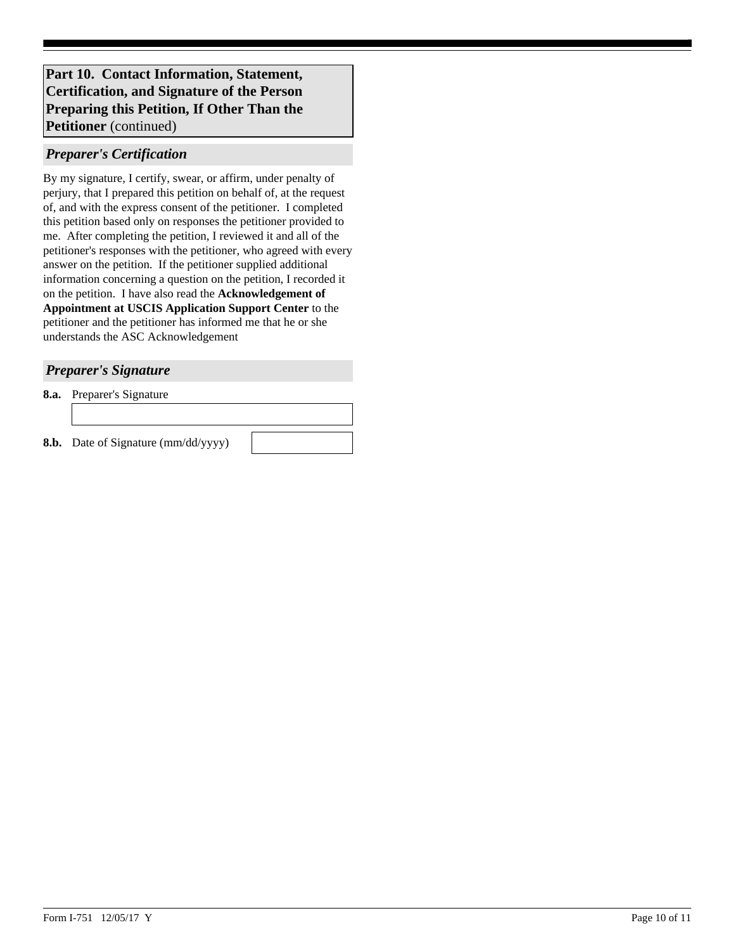**Part 10. Contact Information, Statement, Certification, and Signature of the Person Preparing this Petition, If Other Than the Petitioner** (continued)

#### *Preparer's Certification*

By my signature, I certify, swear, or affirm, under penalty of perjury, that I prepared this petition on behalf of, at the request of, and with the express consent of the petitioner. I completed this petition based only on responses the petitioner provided to me. After completing the petition, I reviewed it and all of the petitioner's responses with the petitioner, who agreed with every answer on the petition. If the petitioner supplied additional information concerning a question on the petition, I recorded it on the petition. I have also read the **Acknowledgement of Appointment at USCIS Application Support Center** to the petitioner and the petitioner has informed me that he or she understands the ASC Acknowledgement

#### *Preparer's Signature*

**8.a.** Preparer's Signature

**8.b.** Date of Signature (mm/dd/yyyy)